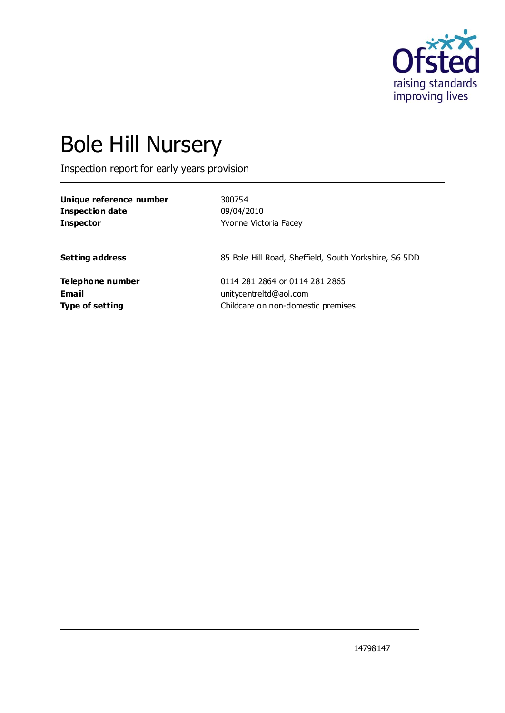

# Bole Hill Nursery

Inspection report for early years provision

| Unique reference number | 300754                                                |
|-------------------------|-------------------------------------------------------|
| <b>Inspection date</b>  | 09/04/2010                                            |
| <b>Inspector</b>        | Yvonne Victoria Facey                                 |
| <b>Setting address</b>  | 85 Bole Hill Road, Sheffield, South Yorkshire, S6 5DD |
| Telephone number        | 0114 281 2864 or 0114 281 2865                        |
| <b>Email</b>            | unitycentreltd@aol.com                                |
| <b>Type of setting</b>  | Childcare on non-domestic premises                    |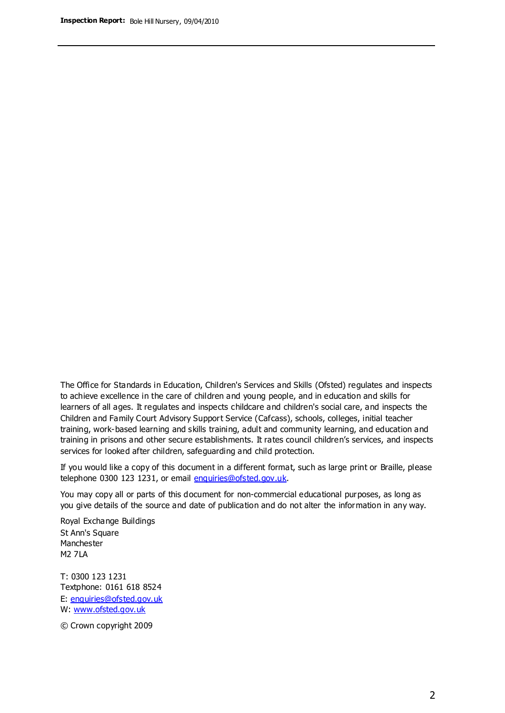The Office for Standards in Education, Children's Services and Skills (Ofsted) regulates and inspects to achieve excellence in the care of children and young people, and in education and skills for learners of all ages. It regulates and inspects childcare and children's social care, and inspects the Children and Family Court Advisory Support Service (Cafcass), schools, colleges, initial teacher training, work-based learning and skills training, adult and community learning, and education and training in prisons and other secure establishments. It rates council children's services, and inspects services for looked after children, safeguarding and child protection.

If you would like a copy of this document in a different format, such as large print or Braille, please telephone 0300 123 1231, or email enquiries@ofsted.gov.uk.

You may copy all or parts of this document for non-commercial educational purposes, as long as you give details of the source and date of publication and do not alter the information in any way.

Royal Exchange Buildings St Ann's Square Manchester M2 7LA

T: 0300 123 1231 Textphone: 0161 618 8524 E: enquiries@ofsted.gov.uk W: [www.ofsted.gov.uk](http://www.ofsted.gov.uk/)

© Crown copyright 2009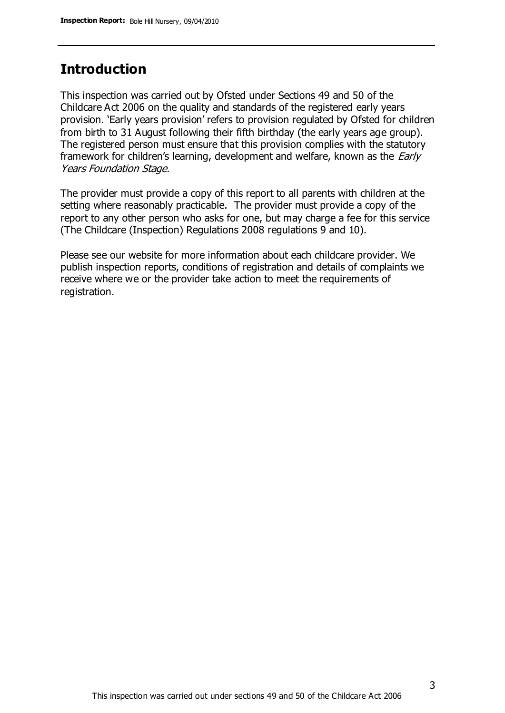### **Introduction**

This inspection was carried out by Ofsted under Sections 49 and 50 of the Childcare Act 2006 on the quality and standards of the registered early years provision. 'Early years provision' refers to provision regulated by Ofsted for children from birth to 31 August following their fifth birthday (the early years age group). The registered person must ensure that this provision complies with the statutory framework for children's learning, development and welfare, known as the *Early* Years Foundation Stage.

The provider must provide a copy of this report to all parents with children at the setting where reasonably practicable. The provider must provide a copy of the report to any other person who asks for one, but may charge a fee for this service (The Childcare (Inspection) Regulations 2008 regulations 9 and 10).

Please see our website for more information about each childcare provider. We publish inspection reports, conditions of registration and details of complaints we receive where we or the provider take action to meet the requirements of registration.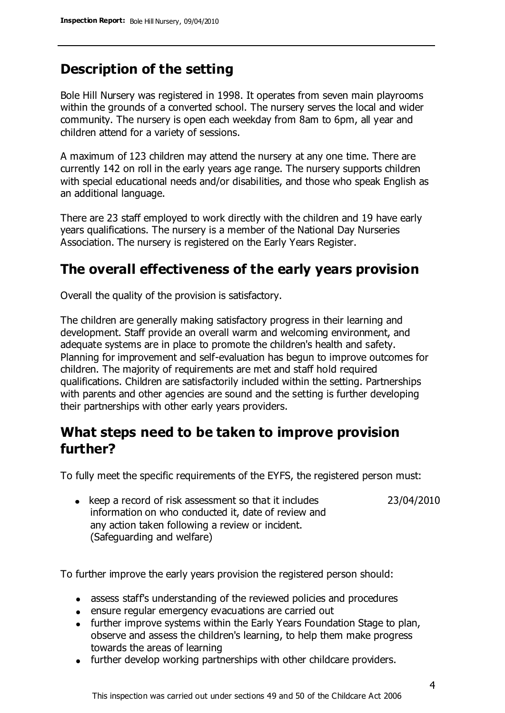## **Description of the setting**

Bole Hill Nursery was registered in 1998. It operates from seven main playrooms within the grounds of a converted school. The nursery serves the local and wider community. The nursery is open each weekday from 8am to 6pm, all year and children attend for a variety of sessions.

A maximum of 123 children may attend the nursery at any one time. There are currently 142 on roll in the early years age range. The nursery supports children with special educational needs and/or disabilities, and those who speak English as an additional language.

There are 23 staff employed to work directly with the children and 19 have early years qualifications. The nursery is a member of the National Day Nurseries Association. The nursery is registered on the Early Years Register.

#### **The overall effectiveness of the early years provision**

Overall the quality of the provision is satisfactory.

The children are generally making satisfactory progress in their learning and development. Staff provide an overall warm and welcoming environment, and adequate systems are in place to promote the children's health and safety. Planning for improvement and self-evaluation has begun to improve outcomes for children. The majority of requirements are met and staff hold required qualifications. Children are satisfactorily included within the setting. Partnerships with parents and other agencies are sound and the setting is further developing their partnerships with other early years providers.

## **What steps need to be taken to improve provision further?**

To fully meet the specific requirements of the EYFS, the registered person must:

23/04/2010

• keep a record of risk assessment so that it includes information on who conducted it, date of review and any action taken following a review or incident. (Safeguarding and welfare)

To further improve the early years provision the registered person should:

- assess staff's understanding of the reviewed policies and procedures
- ensure regular emergency evacuations are carried out
- further improve systems within the Early Years Foundation Stage to plan, observe and assess the children's learning, to help them make progress towards the areas of learning
- further develop working partnerships with other childcare providers.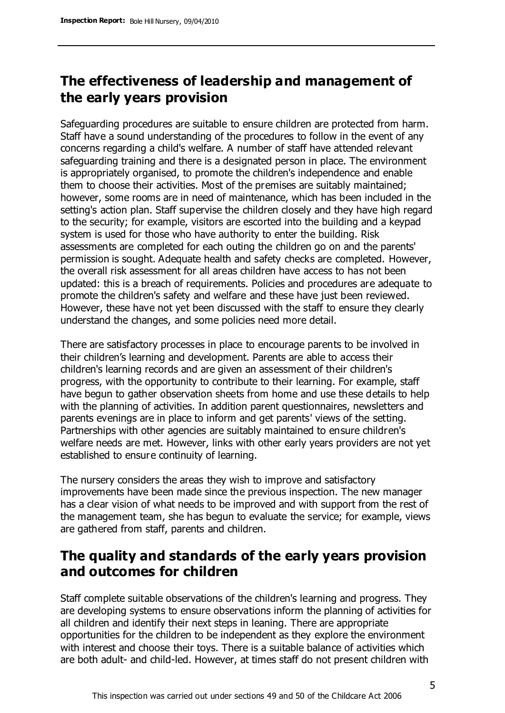## **The effectiveness of leadership and management of the early years provision**

Safeguarding procedures are suitable to ensure children are protected from harm. Staff have a sound understanding of the procedures to follow in the event of any concerns regarding a child's welfare. A number of staff have attended relevant safeguarding training and there is a designated person in place. The environment is appropriately organised, to promote the children's independence and enable them to choose their activities. Most of the premises are suitably maintained; however, some rooms are in need of maintenance, which has been included in the setting's action plan. Staff supervise the children closely and they have high regard to the security; for example, visitors are escorted into the building and a keypad system is used for those who have authority to enter the building. Risk assessments are completed for each outing the children go on and the parents' permission is sought. Adequate health and safety checks are completed. However, the overall risk assessment for all areas children have access to has not been updated: this is a breach of requirements. Policies and procedures are adequate to promote the children's safety and welfare and these have just been reviewed. However, these have not yet been discussed with the staff to ensure they clearly understand the changes, and some policies need more detail.

There are satisfactory processes in place to encourage parents to be involved in their children's learning and development. Parents are able to access their children's learning records and are given an assessment of their children's progress, with the opportunity to contribute to their learning. For example, staff have begun to gather observation sheets from home and use these details to help with the planning of activities. In addition parent questionnaires, newsletters and parents evenings are in place to inform and get parents' views of the setting. Partnerships with other agencies are suitably maintained to ensure children's welfare needs are met. However, links with other early years providers are not yet established to ensure continuity of learning.

The nursery considers the areas they wish to improve and satisfactory improvements have been made since the previous inspection. The new manager has a clear vision of what needs to be improved and with support from the rest of the management team, she has begun to evaluate the service; for example, views are gathered from staff, parents and children.

## **The quality and standards of the early years provision and outcomes for children**

Staff complete suitable observations of the children's learning and progress. They are developing systems to ensure observations inform the planning of activities for all children and identify their next steps in leaning. There are appropriate opportunities for the children to be independent as they explore the environment with interest and choose their toys. There is a suitable balance of activities which are both adult- and child-led. However, at times staff do not present children with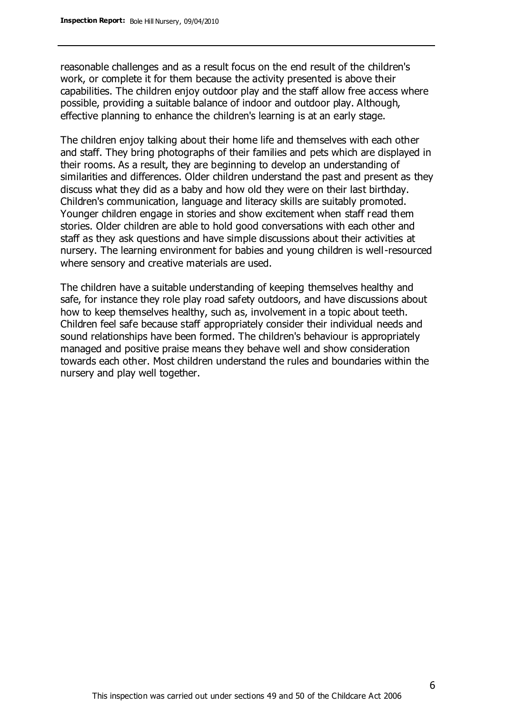reasonable challenges and as a result focus on the end result of the children's work, or complete it for them because the activity presented is above their capabilities. The children enjoy outdoor play and the staff allow free access where possible, providing a suitable balance of indoor and outdoor play. Although, effective planning to enhance the children's learning is at an early stage.

The children enjoy talking about their home life and themselves with each other and staff. They bring photographs of their families and pets which are displayed in their rooms. As a result, they are beginning to develop an understanding of similarities and differences. Older children understand the past and present as they discuss what they did as a baby and how old they were on their last birthday. Children's communication, language and literacy skills are suitably promoted. Younger children engage in stories and show excitement when staff read them stories. Older children are able to hold good conversations with each other and staff as they ask questions and have simple discussions about their activities at nursery. The learning environment for babies and young children is well-resourced where sensory and creative materials are used.

The children have a suitable understanding of keeping themselves healthy and safe, for instance they role play road safety outdoors, and have discussions about how to keep themselves healthy, such as, involvement in a topic about teeth. Children feel safe because staff appropriately consider their individual needs and sound relationships have been formed. The children's behaviour is appropriately managed and positive praise means they behave well and show consideration towards each other. Most children understand the rules and boundaries within the nursery and play well together.